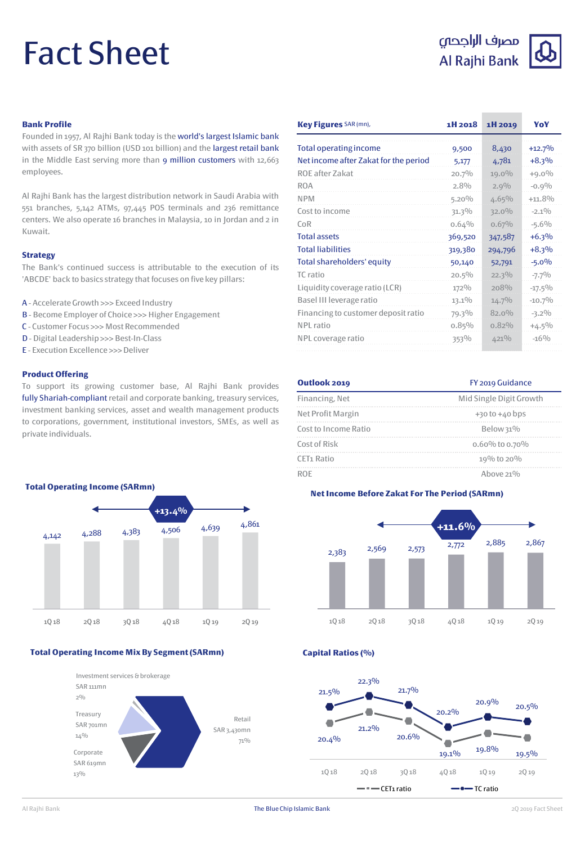# Fact Sheet

# مصرف الراجحى Al Rajhi Bank



# **Bank Profile**

Founded in 1957, Al Rajhi Bank today is the world's largest Islamic bank with assets of SR 370 billion (USD 101 billion) and the largest retail bank in the Middle East serving more than 9 million customers with 12,663 employees.

Al Rajhi Bank has the largest distribution network in Saudi Arabia with 551 branches, 5,142 ATMs, 97,445 POS terminals and 236 remittance centers. We also operate 16 branches in Malaysia, 10 in Jordan and 2 in Kuwait.

### **Strategy**

The Bank's continued success is attributable to the execution of its 'ABCDE' back to basics strategy that focuses on five key pillars:

- A AccelerateGrowth >>> Exceed Industry
- B Become Employer of Choice >>> Higher Engagement
- C Customer Focus >>> Most Recommended
- D Digital Leadership >>> Best-In-Class
- E Execution Excellence >>>Deliver

# **Product Offering**

To support its growing customer base, Al Rajhi Bank provides fully Shariah-compliant retail and corporate banking, treasury services, investment banking services, asset and wealth management products to corporations, government, institutional investors, SMEs, as well as private individuals.



### **Total Operating Income Mix By Segment (SARmn)**



| Key Figures SAR (mn),                 | 1H 2018  | 1H 2019  | YoY       |
|---------------------------------------|----------|----------|-----------|
| <b>Total operating income</b>         | 9,500    | 8,430    | $+12.7%$  |
| Net income after Zakat for the period | 5,177    | 4,781    | $+8.3%$   |
| ROE after Zakat                       | 20.7%    | $19.0\%$ | $+9.0\%$  |
| <b>ROA</b>                            | 2.8%     | 2.9%     | $-0.9%$   |
| <b>NPM</b>                            | $5.20\%$ | 4.65%    | $+11.8%$  |
| Cost to income                        | 31.3%    | $32.0\%$ | $-2.1\%$  |
| $C_0R$                                | 0.64%    | 0.67%    | $-5.6%$   |
| <b>Total assets</b>                   | 369,520  | 347,587  | $+6.3%$   |
| <b>Total liabilities</b>              | 319,380  | 294,796  | $+8.3%$   |
| Total shareholders' equity            | 50,140   | 52,791   | $-5.0%$   |
| TC ratio                              | $20.5\%$ | $22.3\%$ | $-7.7%$   |
| Liquidity coverage ratio (LCR)        | 172%     | 208%     | $-17.5\%$ |
| Basel III leverage ratio              | 13.1%    | $14.7\%$ | $-10.7%$  |
| Financing to customer deposit ratio   | 79.3%    | $82.0\%$ | $-3.2\%$  |
| NPL ratio                             | $0.85\%$ | $0.82\%$ | $+4.5\%$  |
| NPL coverage ratio                    | 353%     | $421\%$  | $-16%$    |
|                                       |          |          |           |

| Outlook 2019           | FY 2019 Guidance<br>Mid Single Digit Growth |  |
|------------------------|---------------------------------------------|--|
| Financing, Net         |                                             |  |
| Net Profit Margin      | $+30$ to $+40$ bps                          |  |
| Cost to Income Ratio   | Below 31%                                   |  |
| Cost of Risk           | 0.60% to 0.70%                              |  |
| CET <sub>1</sub> Ratio | 19% to 20%                                  |  |
| ROF                    | Above $21\%$                                |  |

## **Net Income Before Zakat For The Period (SARmn)**



**Capital Ratios (%)**